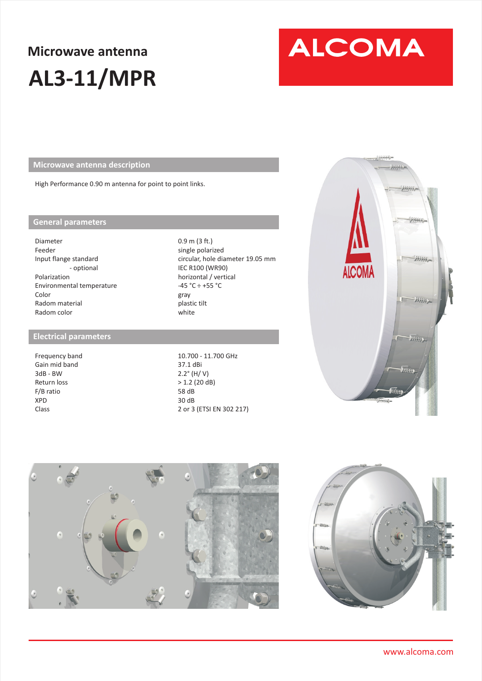## **Microwave antenna AL3-11/MPR**

# **ALCOMA**

**Microwave antenna description** 

High Performance 0.90 m antenna for point to point links.

#### **General parameters**

Diameter Feeder Input flange standard - optional Polarization Environmental temperature Color Radom material Radom color

#### **Electrical parameters**

Frequency band Gain mid band 3dB - BW Return loss F/B ratio XPD Class

0.9 m (3 ft.) single polarized circular, hole diameter 19.05 mm IEC R100 (WR90) horizontal / vertical  $-45 °C \div +55 °C$ gray plastic tilt white

10.700 - 11.700 GHz 37.1 dBi 2.2° (H/ V) > 1.2 (20 dB) 58 dB 30 dB 2 or 3 (ETSI EN 302 217)